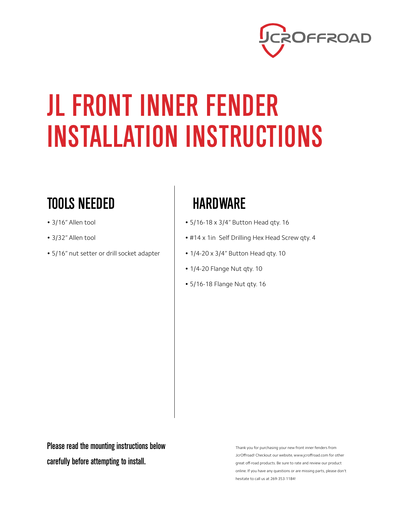

## JL FRONT INNER FENDER INSTALLATION INSTRUCTIONS

## TOOLS NEEDED

- 3/16" Allen tool
- 3/32" Allen tool
- 5/16" nut setter or drill socket adapter

## **HARDWARE**

- 5/16-18 x 3/4" Button Head qty. 16
- #14 x 1in Self Drilling Hex Head Screw qty. 4
- 1/4-20 x 3/4" Button Head qty. 10
- 1/4-20 Flange Nut qty. 10
- 5/16-18 Flange Nut qty. 16

Please read the mounting instructions below carefully before attempting to install.

Thank you for purchasing your new front inner fenders from JcrOffroad! Checkout our website, www.jcroffroad.com for other great off-road products. Be sure to rate and review our product online. If you have any questions or are missing parts, please don't hesitate to call us at 269-353-1184!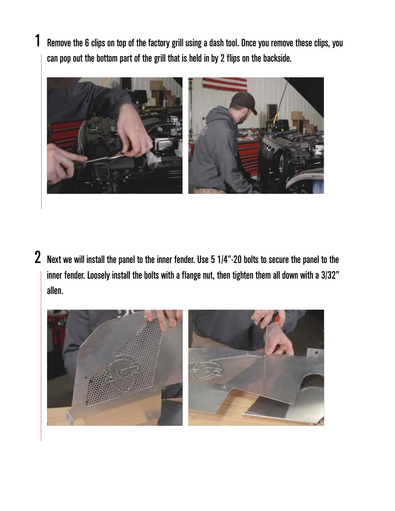Remove the 6 clips on top of the factory grill using a dash tool. Once you remove these clips, you can pop out the bottom part of the grill that is held in by 2 flips on the backside.

1



 $\,2\,$  Next we will install the panel to the inner fender. Use 5 1/4"-20 bolts to secure the panel to the inner fender. Loosely install the bolts with a flange nut, then tighten them all down with a 3/32" allen.

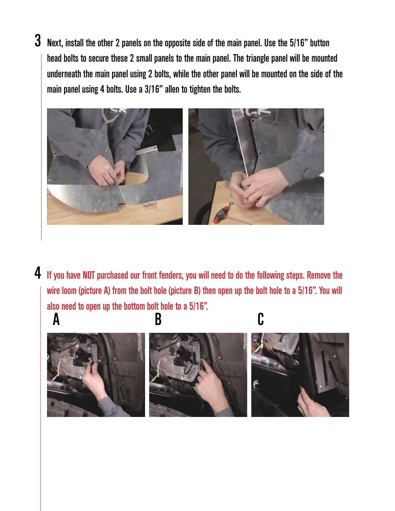$\bf 3$  Next, install the other 2 panels on the opposite side of the main panel. Use the 5/16" button head bolts to secure these 2 small panels to the main panel. The triangle panel will be mounted underneath the main panel using 2 bolts, while the other panel will be mounted on the side of the main panel using 4 bolts. Use a 3/16" allen to tighten the bolts.



4 If you have NOT purchased our front fenders, you will need to do the following steps. Remove the wire loom (picture A) from the bolt hole (picture B) then open up the bolt hole to a 5/16". You will also need to open up the bottom bolt hole to a 5/16".

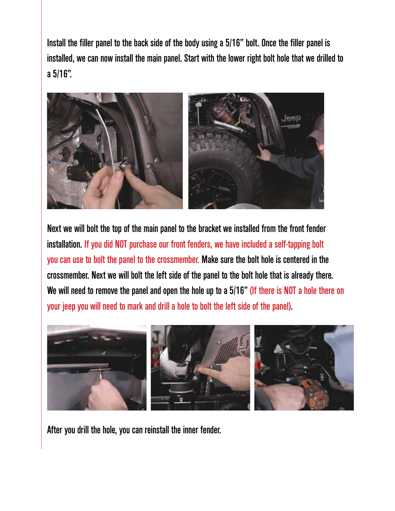Install the filler panel to the back side of the body using a 5/16" bolt. Once the filler panel is installed, we can now install the main panel. Start with the lower right bolt hole that we drilled to a 5/16".



Next we will bolt the top of the main panel to the bracket we installed from the front fender installation. If you did NOT purchase our front fenders, we have included a self-tapping bolt you can use to bolt the panel to the crossmember. Make sure the bolt hole is centered in the crossmember. Next we will bolt the left side of the panel to the bolt hole that is already there. We will need to remove the panel and open the hole up to a 5/16" (If there is NOT a hole there on your jeep you will need to mark and drill a hole to bolt the left side of the panel).



After you drill the hole, you can reinstall the inner fender.